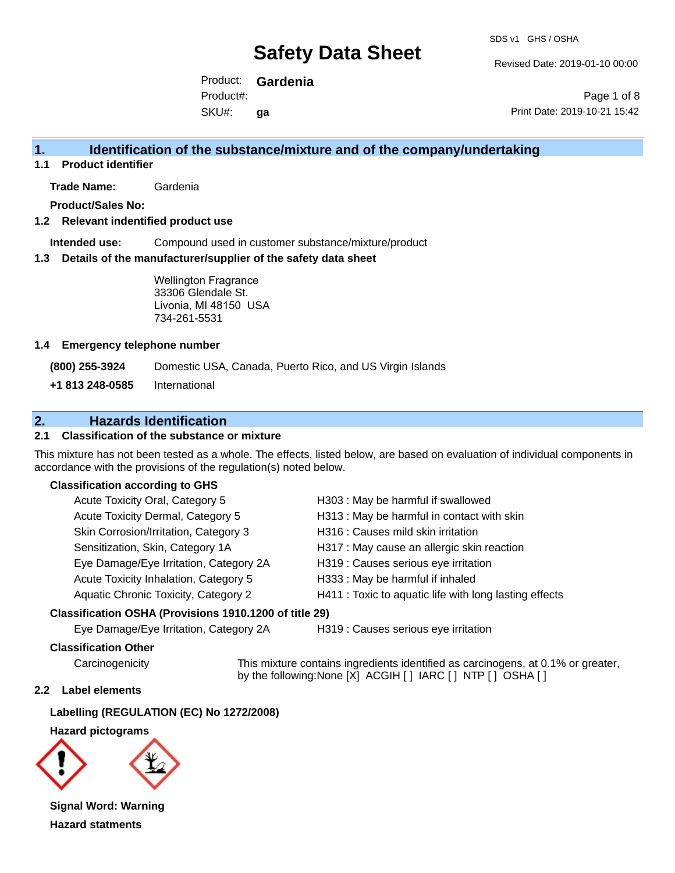SDS v1 GHS / OSHA

Revised Date: 2019-01-10 00:00

Product: **Gardenia** SKU#: Product#: **ga**

Page 1 of 8 Print Date: 2019-10-21 15:42

## **1. Identification of the substance/mixture and of the company/undertaking**

**1.1 Product identifier**

**Trade Name:** Gardenia

**Product/Sales No:**

### **1.2 Relevant indentified product use**

**Intended use:** Compound used in customer substance/mixture/product

### **1.3 Details of the manufacturer/supplier of the safety data sheet**

Wellington Fragrance 33306 Glendale St. Livonia, MI 48150 USA 734-261-5531

### **1.4 Emergency telephone number**

**(800) 255-3924** Domestic USA, Canada, Puerto Rico, and US Virgin Islands

**+1 813 248-0585** International

## **2. Hazards Identification**

### **2.1 Classification of the substance or mixture**

This mixture has not been tested as a whole. The effects, listed below, are based on evaluation of individual components in accordance with the provisions of the regulation(s) noted below.

### **Classification according to GHS**

| Acute Toxicity Oral, Category 5        | H303: May be harmful if swallowed                      |
|----------------------------------------|--------------------------------------------------------|
| Acute Toxicity Dermal, Category 5      | H313 : May be harmful in contact with skin             |
| Skin Corrosion/Irritation, Category 3  | H316 : Causes mild skin irritation                     |
| Sensitization, Skin, Category 1A       | H317 : May cause an allergic skin reaction             |
| Eye Damage/Eye Irritation, Category 2A | H319 : Causes serious eye irritation                   |
| Acute Toxicity Inhalation, Category 5  | H333: May be harmful if inhaled                        |
| Aquatic Chronic Toxicity, Category 2   | H411 : Toxic to aquatic life with long lasting effects |
|                                        |                                                        |

### **Classification OSHA (Provisions 1910.1200 of title 29)**

Eye Damage/Eye Irritation, Category 2A H319 : Causes serious eye irritation

### **Classification Other**

Carcinogenicity This mixture contains ingredients identified as carcinogens, at 0.1% or greater, by the following:None [X] ACGIH [ ] IARC [ ] NTP [ ] OSHA [ ]

### **2.2 Label elements**

**Labelling (REGULATION (EC) No 1272/2008)**

**Hazard pictograms**



**Signal Word: Warning Hazard statments**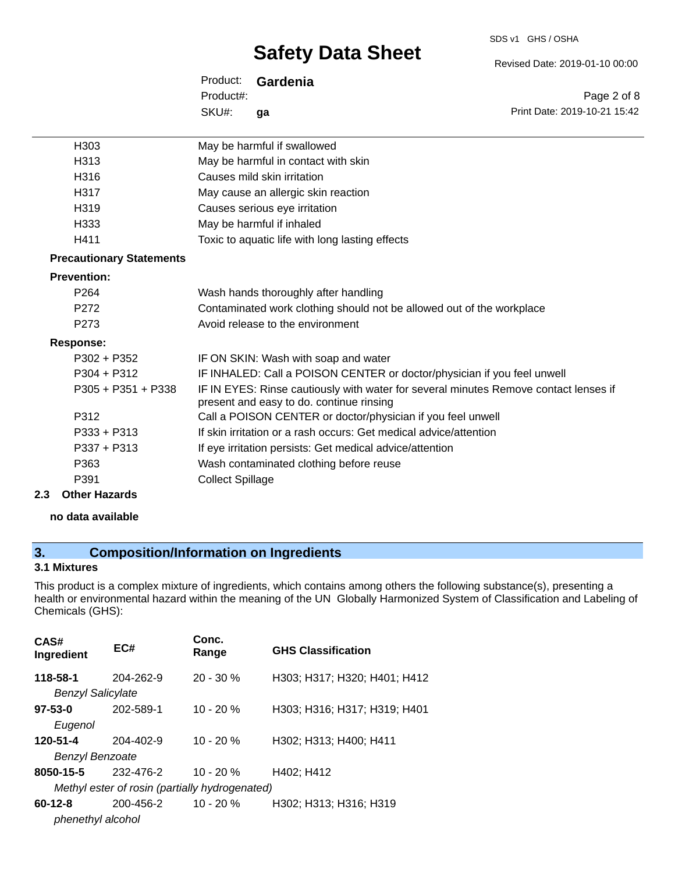#### SDS v1 GHS / OSHA

# **Safety Data Sheet**

Revised Date: 2019-01-10 00:00

Print Date: 2019-10-21 15:42

Page 2 of 8

| Product:  | Gardenia |
|-----------|----------|
| Product#: |          |
| SKU#:     | qa       |

| H <sub>303</sub>                | May be harmful if swallowed                                                                                                      |
|---------------------------------|----------------------------------------------------------------------------------------------------------------------------------|
| H313                            | May be harmful in contact with skin                                                                                              |
| H316                            | Causes mild skin irritation                                                                                                      |
| H317                            | May cause an allergic skin reaction                                                                                              |
| H <sub>319</sub>                | Causes serious eye irritation                                                                                                    |
| H333                            | May be harmful if inhaled                                                                                                        |
| H411                            | Toxic to aquatic life with long lasting effects                                                                                  |
| <b>Precautionary Statements</b> |                                                                                                                                  |
| <b>Prevention:</b>              |                                                                                                                                  |
| P <sub>264</sub>                | Wash hands thoroughly after handling                                                                                             |
| P <sub>272</sub>                | Contaminated work clothing should not be allowed out of the workplace                                                            |
| P <sub>273</sub>                | Avoid release to the environment                                                                                                 |
| Response:                       |                                                                                                                                  |
| $P302 + P352$                   | IF ON SKIN: Wash with soap and water                                                                                             |
| $P304 + P312$                   | IF INHALED: Call a POISON CENTER or doctor/physician if you feel unwell                                                          |
| $P305 + P351 + P338$            | IF IN EYES: Rinse cautiously with water for several minutes Remove contact lenses if<br>present and easy to do. continue rinsing |
| P312                            | Call a POISON CENTER or doctor/physician if you feel unwell                                                                      |
| $P333 + P313$                   | If skin irritation or a rash occurs: Get medical advice/attention                                                                |
| $P337 + P313$                   | If eye irritation persists: Get medical advice/attention                                                                         |
| P363                            | Wash contaminated clothing before reuse                                                                                          |
| P391                            | <b>Collect Spillage</b>                                                                                                          |

**2.3 Other Hazards**

### **no data available**

# **3. Composition/Information on Ingredients**

### **3.1 Mixtures**

This product is a complex mixture of ingredients, which contains among others the following substance(s), presenting a health or environmental hazard within the meaning of the UN Globally Harmonized System of Classification and Labeling of Chemicals (GHS):

| CAS#<br>Ingredient                   | EC#                                                         | Conc.<br>Range | <b>GHS Classification</b>    |
|--------------------------------------|-------------------------------------------------------------|----------------|------------------------------|
| 118-58-1<br><b>Benzyl Salicylate</b> | 204-262-9                                                   | $20 - 30 \%$   | H303; H317; H320; H401; H412 |
| $97 - 53 - 0$<br>Eugenol             | 202-589-1                                                   | $10 - 20%$     | H303; H316; H317; H319; H401 |
| 120-51-4<br><b>Benzyl Benzoate</b>   | 204-402-9                                                   | $10 - 20 %$    | H302; H313; H400; H411       |
| 8050-15-5                            | 232-476-2<br>Methyl ester of rosin (partially hydrogenated) | 10 - 20 %      | H402; H412                   |
| $60 - 12 - 8$<br>phenethyl alcohol   | 200-456-2                                                   | $10 - 20%$     | H302; H313; H316; H319       |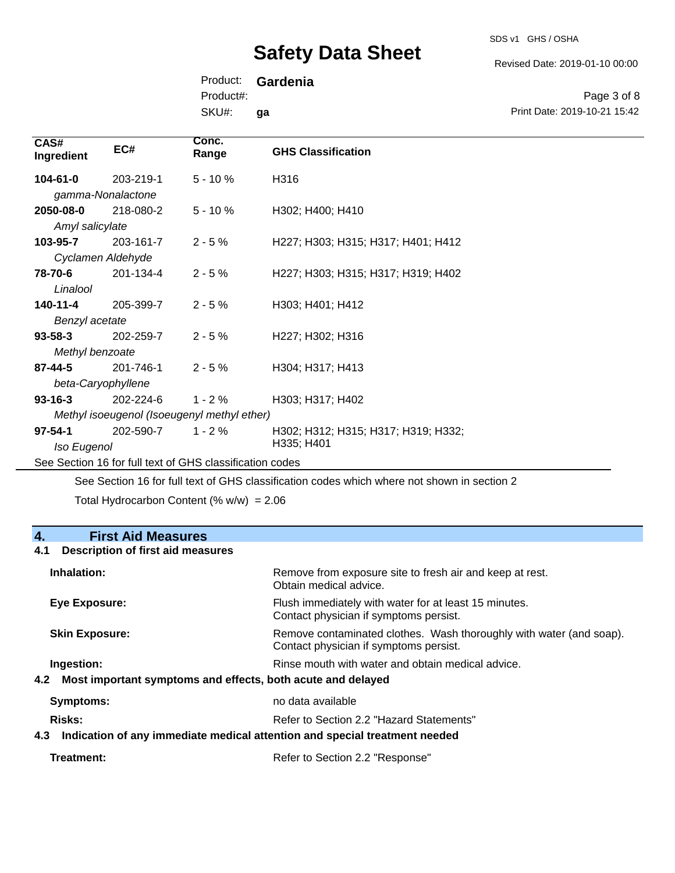SDS v1 GHS / OSHA

Revised Date: 2019-01-10 00:00

Product: **Gardenia** Product#:

SKU#: **ga**

Page 3 of 8 Print Date: 2019-10-21 15:42

| CAS#<br>Ingredient | EC#       | Conc.<br>Range                                           | <b>GHS Classification</b>           |
|--------------------|-----------|----------------------------------------------------------|-------------------------------------|
| $104 - 61 - 0$     | 203-219-1 | $5 - 10%$                                                | H316                                |
| gamma-Nonalactone  |           |                                                          |                                     |
| 2050-08-0          | 218-080-2 | $5 - 10 \%$                                              | H302; H400; H410                    |
| Amyl salicylate    |           |                                                          |                                     |
| 103-95-7           | 203-161-7 | $2 - 5%$                                                 | H227; H303; H315; H317; H401; H412  |
| Cyclamen Aldehyde  |           |                                                          |                                     |
| 78-70-6            | 201-134-4 | $2 - 5%$                                                 | H227; H303; H315; H317; H319; H402  |
| Linalool           |           |                                                          |                                     |
| 140-11-4           | 205-399-7 | $2 - 5%$                                                 | H303; H401; H412                    |
| Benzyl acetate     |           |                                                          |                                     |
| $93 - 58 - 3$      | 202-259-7 | $2 - 5%$                                                 | H227; H302; H316                    |
| Methyl benzoate    |           |                                                          |                                     |
| $87 - 44 - 5$      | 201-746-1 | $2 - 5%$                                                 | H304; H317; H413                    |
| beta-Caryophyllene |           |                                                          |                                     |
| $93 - 16 - 3$      | 202-224-6 | $1 - 2%$                                                 | H303; H317; H402                    |
|                    |           | Methyl isoeugenol (Isoeugenyl methyl ether)              |                                     |
| $97 - 54 - 1$      | 202-590-7 | $1 - 2%$                                                 | H302; H312; H315; H317; H319; H332; |
| Iso Eugenol        |           |                                                          | H335; H401                          |
|                    |           | See Section 16 for full text of GHS classification codes |                                     |

See Section 16 for full text of GHS classification codes which where not shown in section 2

Total Hydrocarbon Content (%  $w/w$ ) = 2.06

## **4. First Aid Measures**

### **4.1 Description of first aid measures**

| Inhalation:                                                                       | Remove from exposure site to fresh air and keep at rest.<br>Obtain medical advice.                            |
|-----------------------------------------------------------------------------------|---------------------------------------------------------------------------------------------------------------|
| Eye Exposure:                                                                     | Flush immediately with water for at least 15 minutes.<br>Contact physician if symptoms persist.               |
| <b>Skin Exposure:</b>                                                             | Remove contaminated clothes. Wash thoroughly with water (and soap).<br>Contact physician if symptoms persist. |
| Ingestion:                                                                        | Rinse mouth with water and obtain medical advice.                                                             |
| Most important symptoms and effects, both acute and delayed<br>4.2                |                                                                                                               |
| <b>Symptoms:</b>                                                                  | no data available                                                                                             |
| Risks:                                                                            | Refer to Section 2.2 "Hazard Statements"                                                                      |
| Indication of any immediate medical attention and special treatment needed<br>4.3 |                                                                                                               |
|                                                                                   |                                                                                                               |

| Refer to Section 2.2 "Response" |
|---------------------------------|
|                                 |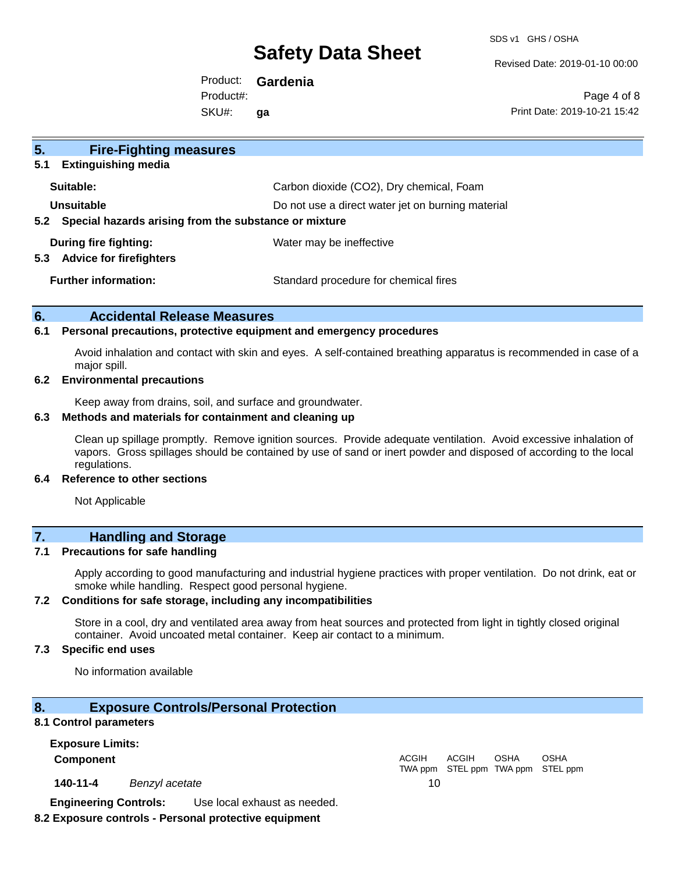SDS v1 GHS / OSHA

Revised Date: 2019-01-10 00:00

Product: **Gardenia** SKU#: Product#: **ga**

Page 4 of 8 Print Date: 2019-10-21 15:42

| 5 <sub>1</sub><br><b>Fire-Fighting measures</b>                |                                                   |
|----------------------------------------------------------------|---------------------------------------------------|
| <b>Extinguishing media</b><br>5.1                              |                                                   |
| Suitable:                                                      | Carbon dioxide (CO2), Dry chemical, Foam          |
| Unsuitable                                                     | Do not use a direct water jet on burning material |
| Special hazards arising from the substance or mixture<br>5.2   |                                                   |
| During fire fighting:<br><b>Advice for firefighters</b><br>5.3 | Water may be ineffective                          |
| <b>Further information:</b>                                    | Standard procedure for chemical fires             |

### **6. Accidental Release Measures**

### **6.1 Personal precautions, protective equipment and emergency procedures**

Avoid inhalation and contact with skin and eyes. A self-contained breathing apparatus is recommended in case of a major spill.

### **6.2 Environmental precautions**

Keep away from drains, soil, and surface and groundwater.

#### **6.3 Methods and materials for containment and cleaning up**

Clean up spillage promptly. Remove ignition sources. Provide adequate ventilation. Avoid excessive inhalation of vapors. Gross spillages should be contained by use of sand or inert powder and disposed of according to the local regulations.

### **6.4 Reference to other sections**

Not Applicable

## **7. Handling and Storage**

### **7.1 Precautions for safe handling**

Apply according to good manufacturing and industrial hygiene practices with proper ventilation. Do not drink, eat or smoke while handling. Respect good personal hygiene.

### **7.2 Conditions for safe storage, including any incompatibilities**

Store in a cool, dry and ventilated area away from heat sources and protected from light in tightly closed original container. Avoid uncoated metal container. Keep air contact to a minimum.

### **7.3 Specific end uses**

No information available

### **8. Exposure Controls/Personal Protection**

### **8.1 Control parameters**

**Exposure Limits: Component** ACGIH

**140-11-4** *Benzyl acetate* 10

**Engineering Controls:** Use local exhaust as needed.

## **8.2 Exposure controls - Personal protective equipment**

TWA ppm STEL ppm TWA ppm STEL ppm ACGIH OSHA OSHA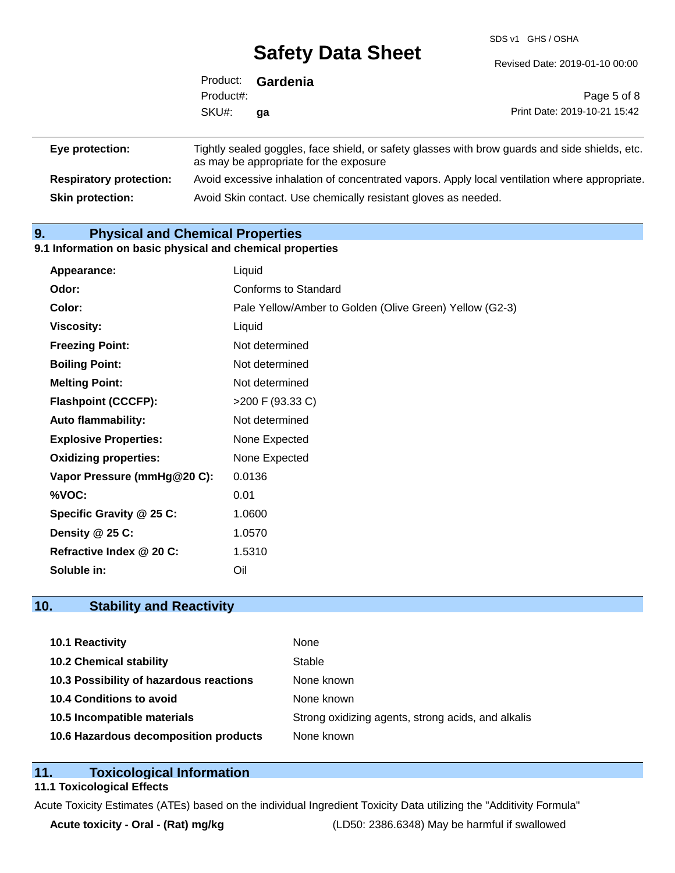SDS v1 GHS / OSHA

|                 | Product:  | Gardenia                               |                                                                                                |
|-----------------|-----------|----------------------------------------|------------------------------------------------------------------------------------------------|
|                 | Product#: |                                        | Page 5 of 8                                                                                    |
|                 | SKU#:     | qa                                     | Print Date: 2019-10-21 15:42                                                                   |
| Eye protection: |           | as may be appropriate for the exposure | Tightly sealed goggles, face shield, or safety glasses with brow guards and side shields, etc. |

**Respiratory protection:** Avoid excessive inhalation of concentrated vapors. Apply local ventilation where appropriate. **Skin protection:** Avoid Skin contact. Use chemically resistant gloves as needed.

## **9. Physical and Chemical Properties**

### **9.1 Information on basic physical and chemical properties**

| Appearance:                  | Liquid                                                  |
|------------------------------|---------------------------------------------------------|
| Odor:                        | <b>Conforms to Standard</b>                             |
| Color:                       | Pale Yellow/Amber to Golden (Olive Green) Yellow (G2-3) |
| <b>Viscosity:</b>            | Liquid                                                  |
| <b>Freezing Point:</b>       | Not determined                                          |
| <b>Boiling Point:</b>        | Not determined                                          |
| <b>Melting Point:</b>        | Not determined                                          |
| <b>Flashpoint (CCCFP):</b>   | $>200$ F (93.33 C)                                      |
| <b>Auto flammability:</b>    | Not determined                                          |
| <b>Explosive Properties:</b> | None Expected                                           |
| <b>Oxidizing properties:</b> | None Expected                                           |
| Vapor Pressure (mmHg@20 C):  | 0.0136                                                  |
| %VOC:                        | 0.01                                                    |
| Specific Gravity @ 25 C:     | 1.0600                                                  |
| Density @ 25 C:              | 1.0570                                                  |
| Refractive Index @ 20 C:     | 1.5310                                                  |
| Soluble in:                  | Oil                                                     |

## **10. Stability and Reactivity**

| 10.1 Reactivity                         | None                                               |
|-----------------------------------------|----------------------------------------------------|
| <b>10.2 Chemical stability</b>          | Stable                                             |
| 10.3 Possibility of hazardous reactions | None known                                         |
| 10.4 Conditions to avoid                | None known                                         |
| 10.5 Incompatible materials             | Strong oxidizing agents, strong acids, and alkalis |
| 10.6 Hazardous decomposition products   | None known                                         |

## **11. Toxicological Information**

## **11.1 Toxicological Effects**

Acute Toxicity Estimates (ATEs) based on the individual Ingredient Toxicity Data utilizing the "Additivity Formula"

**Acute toxicity - Oral - (Rat) mg/kg** (LD50: 2386.6348) May be harmful if swallowed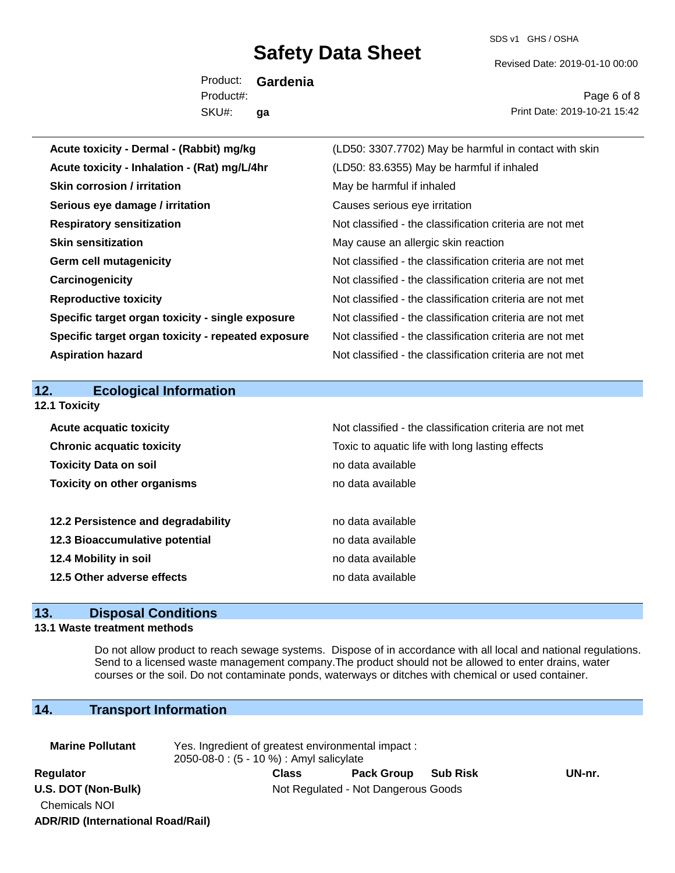SDS v1 GHS / OSHA

Revised Date: 2019-01-10 00:00

Product: **Gardenia** SKU#: Product#: **ga**

Page 6 of 8 Print Date: 2019-10-21 15:42

| Acute toxicity - Dermal - (Rabbit) mg/kg           | (LD50: 3307.7702) May be harmful in contact with skin    |
|----------------------------------------------------|----------------------------------------------------------|
| Acute toxicity - Inhalation - (Rat) mg/L/4hr       | (LD50: 83.6355) May be harmful if inhaled                |
| <b>Skin corrosion / irritation</b>                 | May be harmful if inhaled                                |
| Serious eye damage / irritation                    | Causes serious eye irritation                            |
| <b>Respiratory sensitization</b>                   | Not classified - the classification criteria are not met |
| <b>Skin sensitization</b>                          | May cause an allergic skin reaction                      |
| <b>Germ cell mutagenicity</b>                      | Not classified - the classification criteria are not met |
| Carcinogenicity                                    | Not classified - the classification criteria are not met |
| <b>Reproductive toxicity</b>                       | Not classified - the classification criteria are not met |
| Specific target organ toxicity - single exposure   | Not classified - the classification criteria are not met |
| Specific target organ toxicity - repeated exposure | Not classified - the classification criteria are not met |
| <b>Aspiration hazard</b>                           | Not classified - the classification criteria are not met |
|                                                    |                                                          |
|                                                    |                                                          |
| 12.<br><b>Ecological Information</b>               |                                                          |
| 12.1 Toxicity                                      |                                                          |
| <b>Acute acquatic toxicity</b>                     | Not classified - the classification criteria are not met |
| <b>Chronic acquatic toxicity</b>                   | Toxic to aquatic life with long lasting effects          |
| <b>Toxicity Data on soil</b>                       | no data available                                        |
| <b>Toxicity on other organisms</b>                 | no data available                                        |
|                                                    |                                                          |
| 12.2 Persistence and degradability                 | no data available                                        |
| 12.3 Bioaccumulative potential                     | no data available                                        |
| 12.4 Mobility in soil                              | no data available                                        |
| 12.5 Other adverse effects                         | no data available                                        |

### **13. Disposal Conditions**

### **13.1 Waste treatment methods**

Do not allow product to reach sewage systems. Dispose of in accordance with all local and national regulations. Send to a licensed waste management company.The product should not be allowed to enter drains, water courses or the soil. Do not contaminate ponds, waterways or ditches with chemical or used container.

## **14. Transport Information**

| <b>Marine Pollutant</b>                  | Yes. Ingredient of greatest environmental impact:<br>2050-08-0 : (5 - 10 %) : Amyl salicylate |              |                   |                 |        |  |
|------------------------------------------|-----------------------------------------------------------------------------------------------|--------------|-------------------|-----------------|--------|--|
| Regulator                                |                                                                                               | <b>Class</b> | <b>Pack Group</b> | <b>Sub Risk</b> | UN-nr. |  |
| U.S. DOT (Non-Bulk)                      | Not Regulated - Not Dangerous Goods                                                           |              |                   |                 |        |  |
| <b>Chemicals NOI</b>                     |                                                                                               |              |                   |                 |        |  |
| <b>ADR/RID (International Road/Rail)</b> |                                                                                               |              |                   |                 |        |  |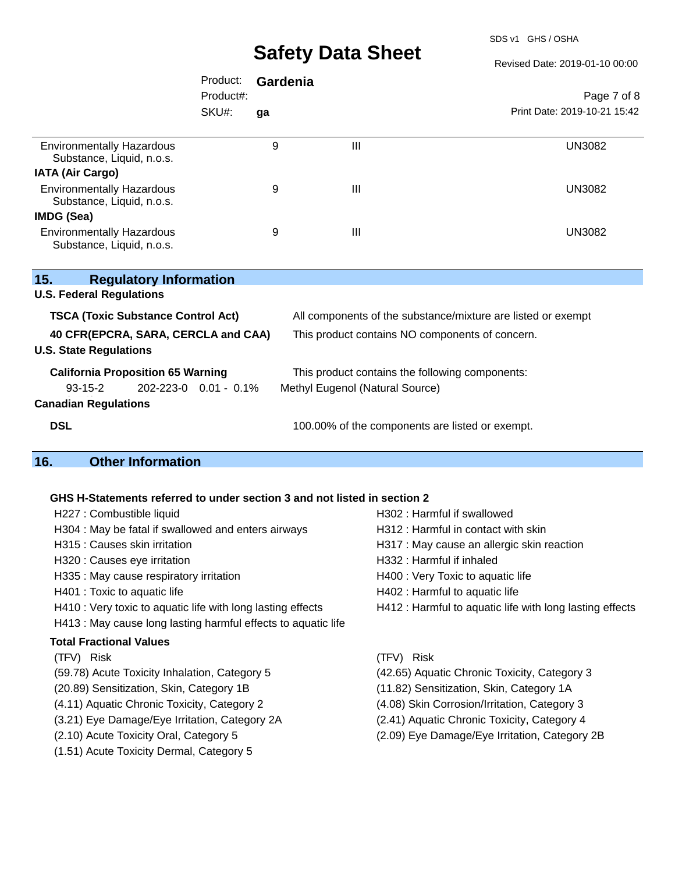SDS v1 GHS / OSHA

Revised Date: 2019-01-10 00:00

|                                                                                                                   | Product:<br>Product#: | Gardenia |                                                                                    | Page 7 of 8                  |  |  |
|-------------------------------------------------------------------------------------------------------------------|-----------------------|----------|------------------------------------------------------------------------------------|------------------------------|--|--|
|                                                                                                                   | SKU#:                 | qa       |                                                                                    | Print Date: 2019-10-21 15:42 |  |  |
| <b>Environmentally Hazardous</b><br>Substance, Liquid, n.o.s.                                                     |                       | 9        | $\mathbf{III}$                                                                     | <b>UN3082</b>                |  |  |
| <b>IATA (Air Cargo)</b>                                                                                           |                       |          |                                                                                    |                              |  |  |
| <b>Environmentally Hazardous</b><br>Substance, Liquid, n.o.s.                                                     |                       | 9        | III                                                                                | <b>UN3082</b>                |  |  |
| IMDG (Sea)                                                                                                        |                       |          |                                                                                    |                              |  |  |
| <b>Environmentally Hazardous</b><br>Substance, Liquid, n.o.s.                                                     |                       | 9        | $\mathbf{III}$                                                                     | <b>UN3082</b>                |  |  |
| 15.<br><b>Regulatory Information</b>                                                                              |                       |          |                                                                                    |                              |  |  |
| <b>U.S. Federal Regulations</b>                                                                                   |                       |          |                                                                                    |                              |  |  |
| <b>TSCA (Toxic Substance Control Act)</b>                                                                         |                       |          | All components of the substance/mixture are listed or exempt                       |                              |  |  |
| 40 CFR(EPCRA, SARA, CERCLA and CAA)<br><b>U.S. State Regulations</b>                                              |                       |          | This product contains NO components of concern.                                    |                              |  |  |
| <b>California Proposition 65 Warning</b><br>$93 - 15 - 2$<br>202-223-0 0.01 - 0.1%<br><b>Canadian Regulations</b> |                       |          | This product contains the following components:<br>Methyl Eugenol (Natural Source) |                              |  |  |

**DSL DSL DSL 100.00%** of the components are listed or exempt.

# **16. Other Information**

### **GHS H-Statements referred to under section 3 and not listed in section 2**

| H227 : Combustible liquid                                     | H302 : Harmful if swallowed                              |
|---------------------------------------------------------------|----------------------------------------------------------|
| H304 : May be fatal if swallowed and enters airways           | H312 : Harmful in contact with skin                      |
| H315 : Causes skin irritation                                 | H317 : May cause an allergic skin reaction               |
| H320 : Causes eye irritation                                  | H332 : Harmful if inhaled                                |
| H335 : May cause respiratory irritation                       | H400 : Very Toxic to aquatic life                        |
| H401 : Toxic to aquatic life                                  | H402 : Harmful to aquatic life                           |
| H410 : Very toxic to aquatic life with long lasting effects   | H412 : Harmful to aquatic life with long lasting effects |
| H413 : May cause long lasting harmful effects to aquatic life |                                                          |
| <b>Total Fractional Values</b>                                |                                                          |
| (TFV) Risk                                                    | (TFV) Risk                                               |
| (59.78) Acute Toxicity Inhalation, Category 5                 | (42.65) Aquatic Chronic Toxicity, Category 3             |
| (20.89) Sensitization, Skin, Category 1B                      | (11.82) Sensitization, Skin, Category 1A                 |
| (4.11) Aquatic Chronic Toxicity, Category 2                   | (4.08) Skin Corrosion/Irritation, Category 3             |
| (3.21) Eye Damage/Eye Irritation, Category 2A                 | (2.41) Aquatic Chronic Toxicity, Category 4              |
| (2.10) Acute Toxicity Oral, Category 5                        | (2.09) Eye Damage/Eye Irritation, Category 2B            |
|                                                               |                                                          |

(1.51) Acute Toxicity Dermal, Category 5